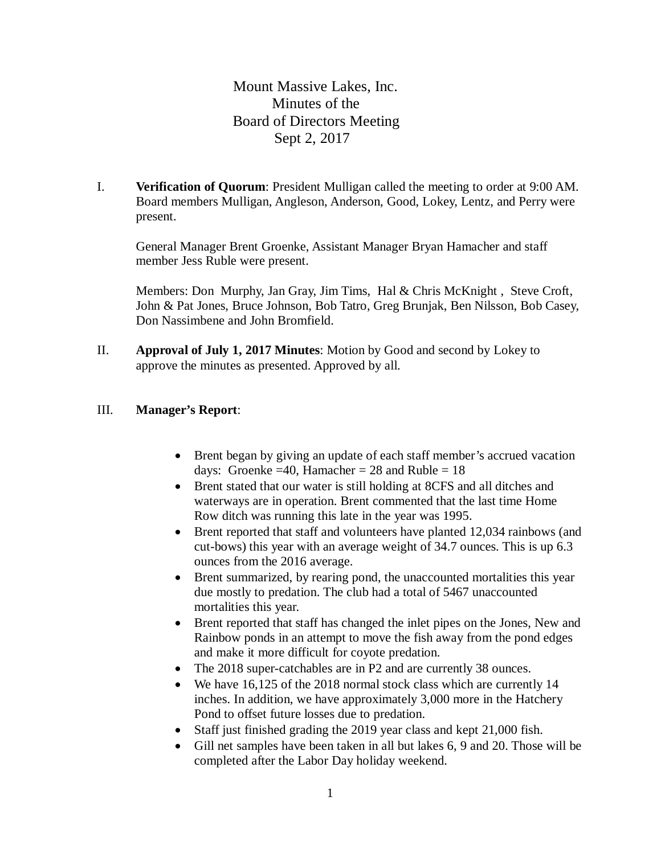Mount Massive Lakes, Inc. Minutes of the Board of Directors Meeting Sept 2, 2017

I. **Verification of Quorum**: President Mulligan called the meeting to order at 9:00 AM. Board members Mulligan, Angleson, Anderson, Good, Lokey, Lentz, and Perry were present.

General Manager Brent Groenke, Assistant Manager Bryan Hamacher and staff member Jess Ruble were present.

Members: Don Murphy, Jan Gray, Jim Tims, Hal & Chris McKnight, Steve Croft, John & Pat Jones, Bruce Johnson, Bob Tatro, Greg Brunjak, Ben Nilsson, Bob Casey, Don Nassimbene and John Bromfield.

II. **Approval of July 1, 2017 Minutes**: Motion by Good and second by Lokey to approve the minutes as presented. Approved by all.

## III. **Manager's Report**:

- Brent began by giving an update of each staff member's accrued vacation days: Groenke = 40, Hamacher =  $28$  and Ruble =  $18$
- Brent stated that our water is still holding at 8CFS and all ditches and waterways are in operation. Brent commented that the last time Home Row ditch was running this late in the year was 1995.
- Brent reported that staff and volunteers have planted 12,034 rainbows (and cut-bows) this year with an average weight of 34.7 ounces. This is up 6.3 ounces from the 2016 average.
- Brent summarized, by rearing pond, the unaccounted mortalities this year due mostly to predation. The club had a total of 5467 unaccounted mortalities this year.
- Brent reported that staff has changed the inlet pipes on the Jones, New and Rainbow ponds in an attempt to move the fish away from the pond edges and make it more difficult for coyote predation.
- The 2018 super-catchables are in P2 and are currently 38 ounces.
- We have 16,125 of the 2018 normal stock class which are currently 14 inches. In addition, we have approximately 3,000 more in the Hatchery Pond to offset future losses due to predation.
- Staff just finished grading the 2019 year class and kept 21,000 fish.
- Gill net samples have been taken in all but lakes 6, 9 and 20. Those will be completed after the Labor Day holiday weekend.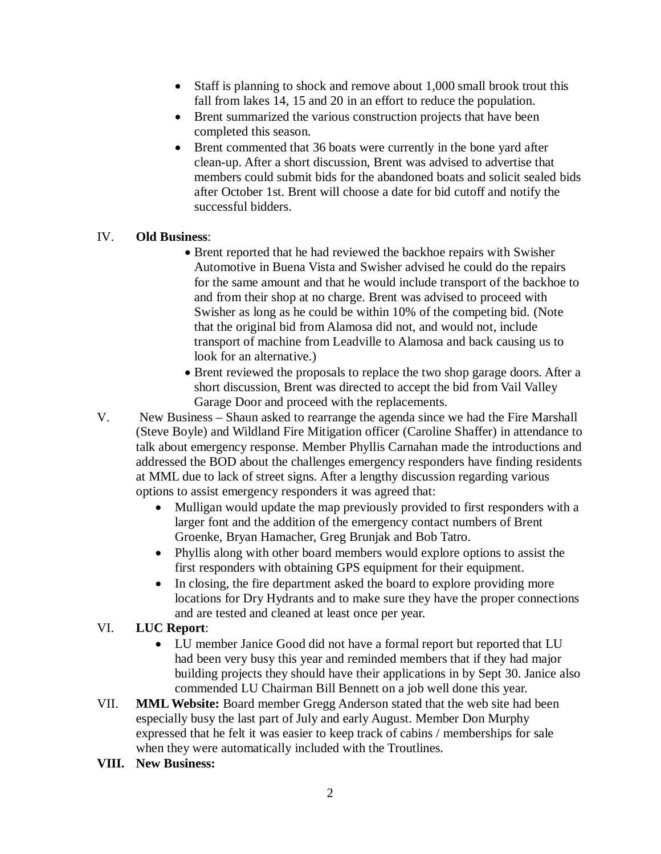- Staff is planning to shock and remove about 1,000 small brook trout this fall from lakes 14, 15 and 20 in an effort to reduce the population.
- Brent summarized the various construction projects that have been completed this season.
- Brent commented that 36 boats were currently in the bone yard after clean-up. After a short discussion, Brent was advised to advertise that members could submit bids for the abandoned boats and solicit sealed bids after October 1st. Brent will choose a date for bid cutoff and notify the successful bidders.

## IV. **Old Business**:

- Brent reported that he had reviewed the backhoe repairs with Swisher Automotive in Buena Vista and Swisher advised he could do the repairs for the same amount and that he would include transport of the backhoe to and from their shop at no charge. Brent was advised to proceed with Swisher as long as he could be within 10% of the competing bid. (Note that the original bid from Alamosa did not, and would not, include transport of machine from Leadville to Alamosa and back causing us to look for an alternative.)
- Brent reviewed the proposals to replace the two shop garage doors. After a short discussion, Brent was directed to accept the bid from Vail Valley Garage Door and proceed with the replacements.
- V. New Business Shaun asked to rearrange the agenda since we had the Fire Marshall (Steve Boyle) and Wildland Fire Mitigation officer (Caroline Shaffer) in attendance to talk about emergency response. Member Phyllis Carnahan made the introductions and addressed the BOD about the challenges emergency responders have finding residents at MML due to lack of street signs. After a lengthy discussion regarding various options to assist emergency responders it was agreed that:
	- Mulligan would update the map previously provided to first responders with a larger font and the addition of the emergency contact numbers of Brent Groenke, Bryan Hamacher, Greg Brunjak and Bob Tatro.
	- Phyllis along with other board members would explore options to assist the first responders with obtaining GPS equipment for their equipment.
	- In closing, the fire department asked the board to explore providing more locations for Dry Hydrants and to make sure they have the proper connections and are tested and cleaned at least once per year.

## VI. **LUC Report**:

- LU member Janice Good did not have a formal report but reported that LU had been very busy this year and reminded members that if they had major building projects they should have their applications in by Sept 30. Janice also commended LU Chairman Bill Bennett on a job well done this year.
- VII. **MML Website:** Board member Gregg Anderson stated that the web site had been especially busy the last part of July and early August. Member Don Murphy expressed that he felt it was easier to keep track of cabins / memberships for sale when they were automatically included with the Troutlines.
- **VIII. New Business:**